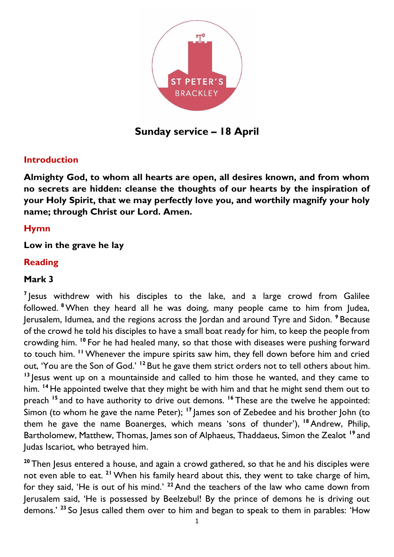

**Sunday service – 18 April**

#### **Introduction**

**Almighty God, to whom all hearts are open, all desires known, and from whom no secrets are hidden: cleanse the thoughts of our hearts by the inspiration of your Holy Spirit, that we may perfectly love you, and worthily magnify your holy name; through Christ our Lord. Amen.**

### **Hymn**

### **Low in the grave he lay**

#### **Reading**

### **Mark 3**

<sup>7</sup> Jesus withdrew with his disciples to the lake, and a large crowd from Galilee followed. **<sup>8</sup>**When they heard all he was doing, many people came to him from Judea, Jerusalem, Idumea, and the regions across the Jordan and around Tyre and Sidon. **<sup>9</sup>** Because of the crowd he told his disciples to have a small boat ready for him, to keep the people from crowding him. **<sup>10</sup>** For he had healed many, so that those with diseases were pushing forward to touch him. **<sup>11</sup>** Whenever the impure spirits saw him, they fell down before him and cried out, 'You are the Son of God.' **<sup>12</sup>** But he gave them strict orders not to tell others about him. **<sup>13</sup>** Jesus went up on a mountainside and called to him those he wanted, and they came to him. **<sup>14</sup>** He appointed twelve that they might be with him and that he might send them out to preach **<sup>15</sup>** and to have authority to drive out demons. **<sup>16</sup>** These are the twelve he appointed: Simon (to whom he gave the name Peter); **<sup>17</sup>** James son of Zebedee and his brother John (to them he gave the name Boanerges, which means 'sons of thunder'), **<sup>18</sup>** Andrew, Philip, Bartholomew, Matthew, Thomas, James son of Alphaeus, Thaddaeus, Simon the Zealot **<sup>19</sup>** and Judas Iscariot, who betrayed him.

**<sup>20</sup>** Then Jesus entered a house, and again a crowd gathered, so that he and his disciples were not even able to eat. **<sup>21</sup>** When his family heard about this, they went to take charge of him, for they said, 'He is out of his mind.' **<sup>22</sup>** And the teachers of the law who came down from Jerusalem said, 'He is possessed by Beelzebul! By the prince of demons he is driving out demons.' **<sup>23</sup>** So Jesus called them over to him and began to speak to them in parables: 'How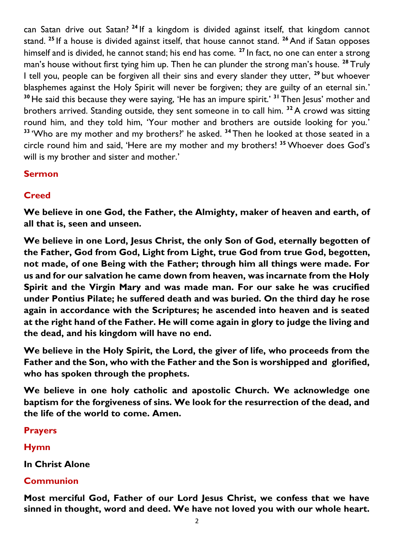can Satan drive out Satan? **<sup>24</sup>** If a kingdom is divided against itself, that kingdom cannot stand. **<sup>25</sup>** If a house is divided against itself, that house cannot stand. **<sup>26</sup>** And if Satan opposes himself and is divided, he cannot stand; his end has come. **<sup>27</sup>** In fact, no one can enter a strong man's house without first tying him up. Then he can plunder the strong man's house. **<sup>28</sup>** Truly I tell you, people can be forgiven all their sins and every slander they utter, **<sup>29</sup>** but whoever blasphemes against the Holy Spirit will never be forgiven; they are guilty of an eternal sin.' **<sup>30</sup>** He said this because they were saying, 'He has an impure spirit.' **<sup>31</sup>** Then Jesus' mother and brothers arrived. Standing outside, they sent someone in to call him. **<sup>32</sup>** A crowd was sitting round him, and they told him, 'Your mother and brothers are outside looking for you.' <sup>33</sup> 'Who are my mother and my brothers?' he asked. <sup>34</sup> Then he looked at those seated in a circle round him and said, 'Here are my mother and my brothers! **<sup>35</sup>** Whoever does God's will is my brother and sister and mother.'

### **Sermon**

# **Creed**

**We believe in one God, the Father, the Almighty, maker of heaven and earth, of all that is, seen and unseen.** 

**We believe in one Lord, Jesus Christ, the only Son of God, eternally begotten of the Father, God from God, Light from Light, true God from true God, begotten, not made, of one Being with the Father; through him all things were made. For us and for our salvation he came down from heaven, was incarnate from the Holy Spirit and the Virgin Mary and was made man. For our sake he was crucified under Pontius Pilate; he suffered death and was buried. On the third day he rose again in accordance with the Scriptures; he ascended into heaven and is seated at the right hand of the Father. He will come again in glory to judge the living and the dead, and his kingdom will have no end.**

**We believe in the Holy Spirit, the Lord, the giver of life, who proceeds from the Father and the Son, who with the Father and the Son is worshipped and glorified, who has spoken through the prophets.** 

**We believe in one holy catholic and apostolic Church. We acknowledge one baptism for the forgiveness of sins. We look for the resurrection of the dead, and the life of the world to come. Amen.**

# **Prayers**

# **Hymn**

**In Christ Alone**

# **Communion**

**Most merciful God, Father of our Lord Jesus Christ, we confess that we have sinned in thought, word and deed. We have not loved you with our whole heart.**